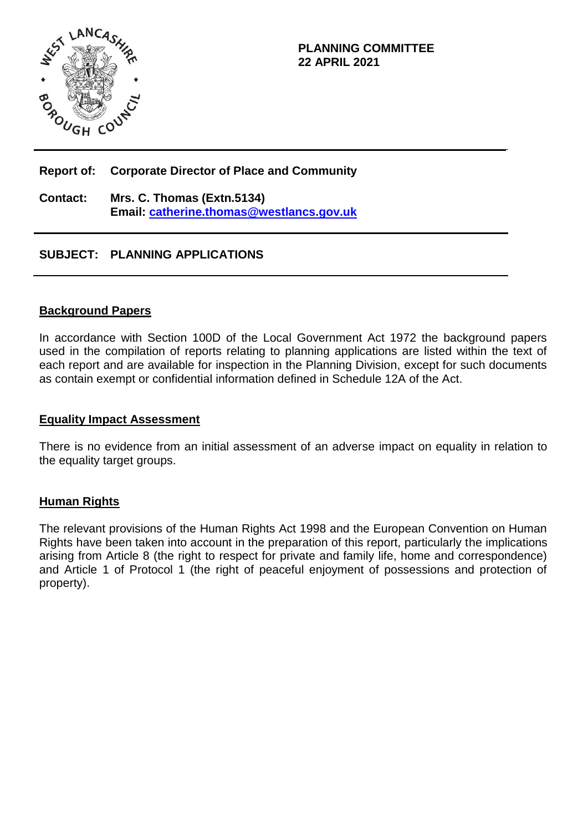

## **Report of: Corporate Director of Place and Community**

**Contact: Mrs. C. Thomas (Extn.5134) Email: [catherine.thomas@westlancs.gov.uk](mailto:catherine.thomas@westlancs.gov.uk)**

# **SUBJECT: PLANNING APPLICATIONS**

#### **Background Papers**

In accordance with Section 100D of the Local Government Act 1972 the background papers used in the compilation of reports relating to planning applications are listed within the text of each report and are available for inspection in the Planning Division, except for such documents as contain exempt or confidential information defined in Schedule 12A of the Act.

#### **Equality Impact Assessment**

There is no evidence from an initial assessment of an adverse impact on equality in relation to the equality target groups.

## **Human Rights**

The relevant provisions of the Human Rights Act 1998 and the European Convention on Human Rights have been taken into account in the preparation of this report, particularly the implications arising from Article 8 (the right to respect for private and family life, home and correspondence) and Article 1 of Protocol 1 (the right of peaceful enjoyment of possessions and protection of property).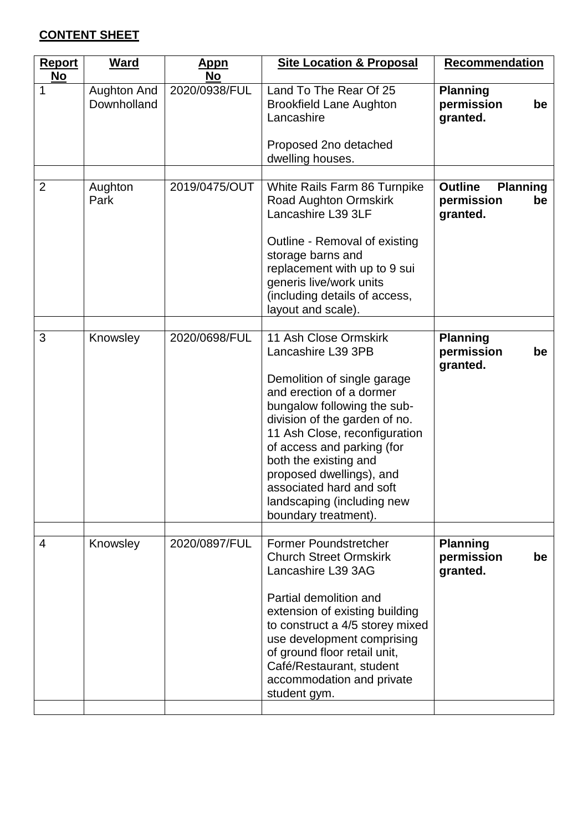# **CONTENT SHEET**

| Ward                       | <u>Appn</u><br>No | <b>Site Location &amp; Proposal</b>                                                                                                                                                                                                                                                                                                                                          | <b>Recommendation</b>                                             |  |
|----------------------------|-------------------|------------------------------------------------------------------------------------------------------------------------------------------------------------------------------------------------------------------------------------------------------------------------------------------------------------------------------------------------------------------------------|-------------------------------------------------------------------|--|
| Aughton And<br>Downholland | 2020/0938/FUL     | Land To The Rear Of 25<br><b>Brookfield Lane Aughton</b><br>Lancashire<br>Proposed 2no detached                                                                                                                                                                                                                                                                              | <b>Planning</b><br>permission<br>be<br>granted.                   |  |
|                            |                   |                                                                                                                                                                                                                                                                                                                                                                              |                                                                   |  |
| Aughton<br>Park            | 2019/0475/OUT     | White Rails Farm 86 Turnpike<br>Road Aughton Ormskirk<br>Lancashire L39 3LF                                                                                                                                                                                                                                                                                                  | <b>Outline</b><br><b>Planning</b><br>permission<br>be<br>granted. |  |
|                            |                   | Outline - Removal of existing<br>storage barns and<br>replacement with up to 9 sui<br>generis live/work units<br>(including details of access,<br>layout and scale).                                                                                                                                                                                                         |                                                                   |  |
| Knowsley                   | 2020/0698/FUL     | 11 Ash Close Ormskirk<br>Lancashire L39 3PB<br>Demolition of single garage<br>and erection of a dormer<br>bungalow following the sub-<br>division of the garden of no.<br>11 Ash Close, reconfiguration<br>of access and parking (for<br>both the existing and<br>proposed dwellings), and<br>associated hard and soft<br>landscaping (including new<br>boundary treatment). | <b>Planning</b><br>permission<br>be<br>granted.                   |  |
|                            |                   |                                                                                                                                                                                                                                                                                                                                                                              |                                                                   |  |
|                            |                   | <b>Church Street Ormskirk</b><br>Lancashire L39 3AG<br>Partial demolition and<br>extension of existing building<br>to construct a 4/5 storey mixed<br>use development comprising<br>of ground floor retail unit,<br>Café/Restaurant, student<br>accommodation and private<br>student gym.                                                                                    | <b>Planning</b><br>permission<br>be<br>granted.                   |  |
|                            | Knowsley          | 2020/0897/FUL                                                                                                                                                                                                                                                                                                                                                                | dwelling houses.<br><b>Former Poundstretcher</b>                  |  |